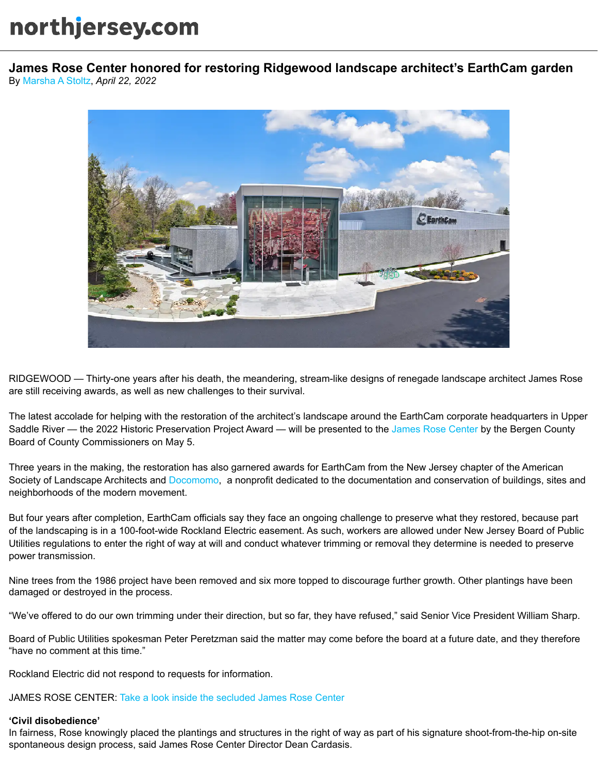## northjersey.com

By [Marsha A Stoltz,](https://www.northjersey.com/staff/2646782001/marsha-a-stoltz/) *April 22, 2022* **James Rose Center honored for restoring Ridgewood landscape architect's EarthCam garden**



RIDGEWOOD — Thirty-one years after his death, the meandering, stream-like designs of renegade landscape architect James Rose are still receiving awards, as well as new challenges to their survival.

The latest accolade for helping with the restoration of the architect's landscape around the EarthCam corporate headquarters in Upper Saddle River — the 2022 Historic Preservation Project Award — will be presented to the [James Rose Center](http://jamesrosecenter.org/) by the Bergen County Board of County Commissioners on May 5.

Three years in the making, the restoration has also garnered awards for EarthCam from the New Jersey chapter of the American Society of Landscape Architects and [Docomomo](https://www.docomomo-us.org/register/texwipe-earthcam), a nonprofit dedicated to the documentation and conservation of buildings, sites and neighborhoods of the modern movement.

But four years after completion, EarthCam officials say they face an ongoing challenge to preserve what they restored, because part of the landscaping is in a 100-foot-wide Rockland Electric easement. As such, workers are allowed under New Jersey Board of Public Utilities regulations to enter the right of way at will and conduct whatever trimming or removal they determine is needed to preserve power transmission.

Nine trees from the 1986 project have been removed and six more topped to discourage further growth. Other plantings have been damaged or destroyed in the process.

"We've offered to do our own trimming under their direction, but so far, they have refused," said Senior Vice President William Sharp.

Board of Public Utilities spokesman Peter Peretzman said the matter may come before the board at a future date, and they therefore "have no comment at this time."

Rockland Electric did not respond to requests for information.

JAMES ROSE CENTER: [Take a look inside the secluded James Rose Center](https://www.northjersey.com/story/news/bergen/ridgewood/2018/09/26/take-peek-inside-ridgewood-nj-hidden-treasure-midcentury-james-rose-center/1424491002/)

## **'Civil disobedience'**

In fairness, Rose knowingly placed the plantings and structures in the right of way as part of his signature shoot-from-the-hip on-site spontaneous design process, said James Rose Center Director Dean Cardasis.